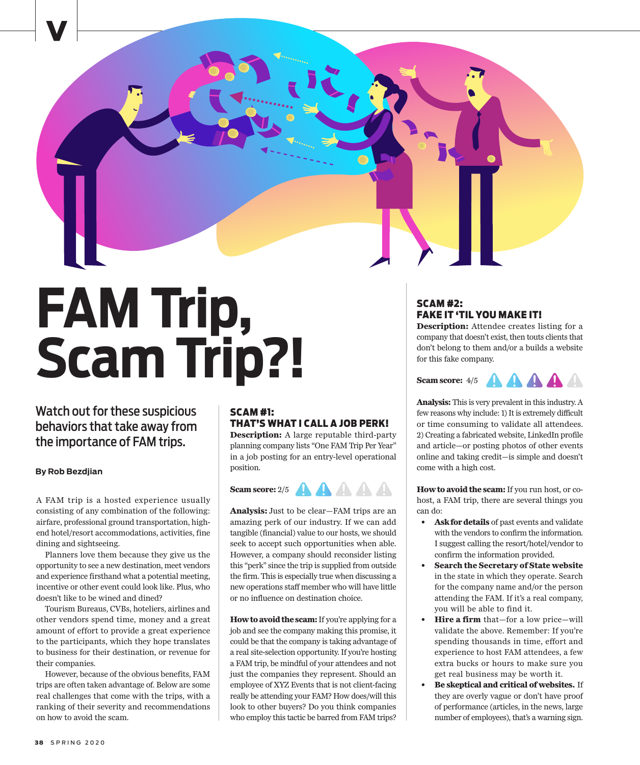

# **FAM Trip, Scam Trip?!**

Watch out for these suspicious behaviors that take away from the importance of FAM trips.

### **By Rob Bezdjian**

A FAM trip is a hosted experience usually consisting of any combination of the following: airfare, professional ground transportation, highend hotel/resort accommodations, activities, fine dining and sightseeing.

Planners love them because they give us the opportunity to see a new destination, meet vendors and experience firsthand what a potential meeting, incentive or other event could look like. Plus, who doesn't like to be wined and dined?

Tourism Bureaus, CVBs, hoteliers, airlines and other vendors spend time, money and a great amount of effort to provide a great experience to the participants, which they hope translates to business for their destination, or revenue for their companies.

However, because of the obvious benefits, FAM trips are often taken advantage of. Below are some real challenges that come with the trips, with a ranking of their severity and recommendations on how to avoid the scam.

# SCAM #1: THAT'S WHAT I CALL A JOB PERK!

**Description:** A large reputable third-party planning company lists "One FAM Trip Per Year" in a job posting for an entry-level operational position.

## **Scam score:**  $2/5$  **A A A**



**How to avoid the scam:** If you're applying for a job and see the company making this promise, it could be that the company is taking advantage of a real site-selection opportunity. If you're hosting a FAM trip, be mindful of your attendees and not just the companies they represent. Should an employee of XYZ Events that is not client-facing really be attending your FAM? How does/will this look to other buyers? Do you think companies who employ this tactic be barred from FAM trips?

# SCAM #2: FAKE IT 'TIL YOU MAKE IT!

**Description:** Attendee creates listing for a company that doesn't exist, then touts clients that don't belong to them and/or a builds a website for this fake company.

**AAAA Scam score:** 4/5

**Analysis:** This is very prevalent in this industry. A few reasons why include: 1) It is extremely difficult or time consuming to validate all attendees. 2) Creating a fabricated website, LinkedIn profile and article—or posting photos of other events online and taking credit—is simple and doesn't come with a high cost.

**How to avoid the scam:** If you run host, or cohost, a FAM trip, there are several things you can do:

- **• Ask for details** of past events and validate with the vendors to confirm the information. I suggest calling the resort/hotel/vendor to confirm the information provided.
- **• Search the Secretary of State website** in the state in which they operate. Search for the company name and/or the person attending the FAM. If it's a real company, you will be able to find it.
- **• Hire a firm** that—for a low price—will validate the above. Remember: If you're spending thousands in time, effort and experience to host FAM attendees, a few extra bucks or hours to make sure you get real business may be worth it.
- **• Be skeptical and critical of websites.** If they are overly vague or don't have proof of performance (articles, in the news, large number of employees), that's a warning sign.